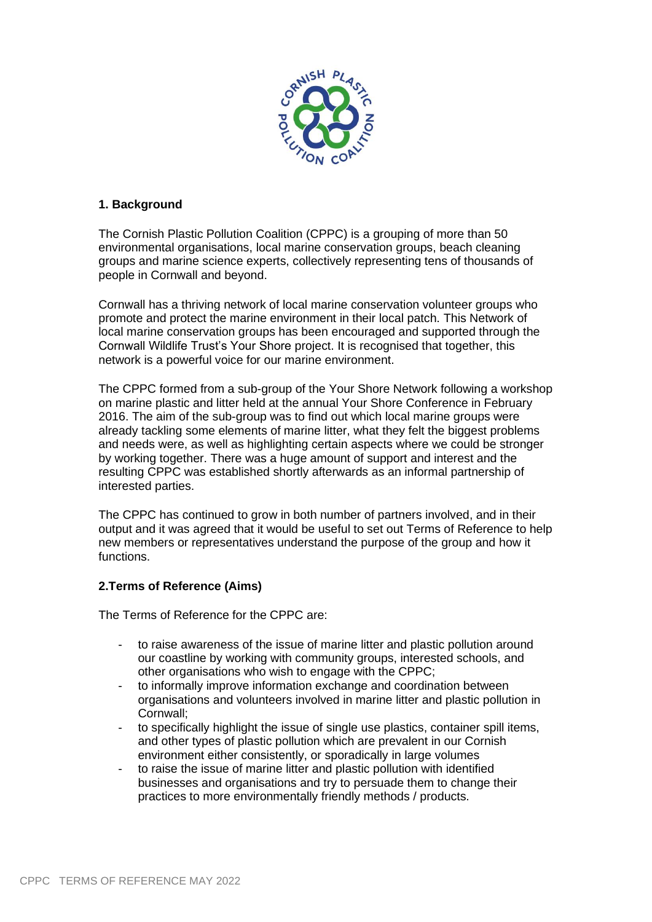

## **1. Background**

The Cornish Plastic Pollution Coalition (CPPC) is a grouping of more than 50 environmental organisations, local marine conservation groups, beach cleaning groups and marine science experts, collectively representing tens of thousands of people in Cornwall and beyond.

Cornwall has a thriving network of local marine conservation volunteer groups who promote and protect the marine environment in their local patch. This Network of local marine conservation groups has been encouraged and supported through the Cornwall Wildlife Trust's Your Shore project. It is recognised that together, this network is a powerful voice for our marine environment.

The CPPC formed from a sub-group of the Your Shore Network following a workshop on marine plastic and litter held at the annual Your Shore Conference in February 2016. The aim of the sub-group was to find out which local marine groups were already tackling some elements of marine litter, what they felt the biggest problems and needs were, as well as highlighting certain aspects where we could be stronger by working together. There was a huge amount of support and interest and the resulting CPPC was established shortly afterwards as an informal partnership of interested parties.

The CPPC has continued to grow in both number of partners involved, and in their output and it was agreed that it would be useful to set out Terms of Reference to help new members or representatives understand the purpose of the group and how it functions.

## **2.Terms of Reference (Aims)**

The Terms of Reference for the CPPC are:

- to raise awareness of the issue of marine litter and plastic pollution around our coastline by working with community groups, interested schools, and other organisations who wish to engage with the CPPC;
- to informally improve information exchange and coordination between organisations and volunteers involved in marine litter and plastic pollution in Cornwall;
- to specifically highlight the issue of single use plastics, container spill items, and other types of plastic pollution which are prevalent in our Cornish environment either consistently, or sporadically in large volumes
- to raise the issue of marine litter and plastic pollution with identified businesses and organisations and try to persuade them to change their practices to more environmentally friendly methods / products.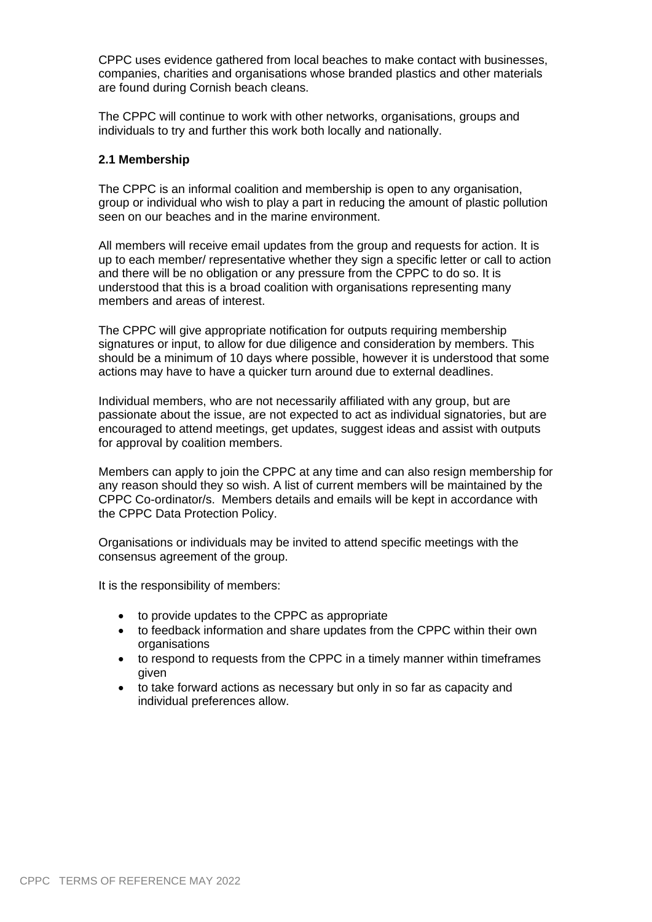CPPC uses evidence gathered from local beaches to make contact with businesses, companies, charities and organisations whose branded plastics and other materials are found during Cornish beach cleans.

The CPPC will continue to work with other networks, organisations, groups and individuals to try and further this work both locally and nationally.

#### **2.1 Membership**

The CPPC is an informal coalition and membership is open to any organisation, group or individual who wish to play a part in reducing the amount of plastic pollution seen on our beaches and in the marine environment.

All members will receive email updates from the group and requests for action. It is up to each member/ representative whether they sign a specific letter or call to action and there will be no obligation or any pressure from the CPPC to do so. It is understood that this is a broad coalition with organisations representing many members and areas of interest.

The CPPC will give appropriate notification for outputs requiring membership signatures or input, to allow for due diligence and consideration by members. This should be a minimum of 10 days where possible, however it is understood that some actions may have to have a quicker turn around due to external deadlines.

Individual members, who are not necessarily affiliated with any group, but are passionate about the issue, are not expected to act as individual signatories, but are encouraged to attend meetings, get updates, suggest ideas and assist with outputs for approval by coalition members.

Members can apply to join the CPPC at any time and can also resign membership for any reason should they so wish. A list of current members will be maintained by the CPPC Co-ordinator/s. Members details and emails will be kept in accordance with the CPPC Data Protection Policy.

Organisations or individuals may be invited to attend specific meetings with the consensus agreement of the group.

It is the responsibility of members:

- to provide updates to the CPPC as appropriate
- to feedback information and share updates from the CPPC within their own **organisations**
- to respond to requests from the CPPC in a timely manner within timeframes given
- to take forward actions as necessary but only in so far as capacity and individual preferences allow.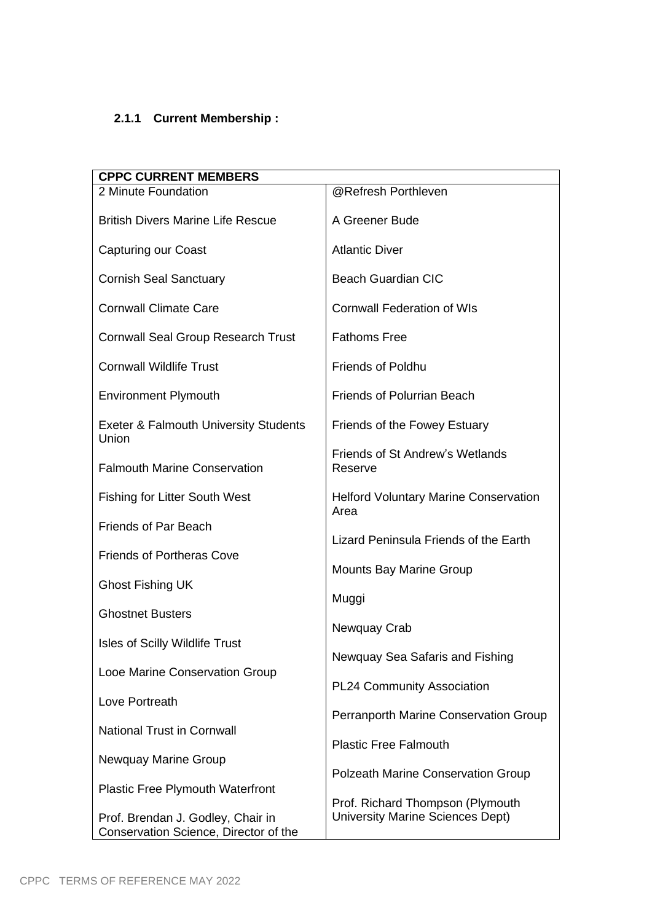# **2.1.1 Current Membership :**

| <b>CPPC CURRENT MEMBERS</b>                                                |                                                                      |
|----------------------------------------------------------------------------|----------------------------------------------------------------------|
| 2 Minute Foundation                                                        | @Refresh Porthleven                                                  |
| <b>British Divers Marine Life Rescue</b>                                   | A Greener Bude                                                       |
| <b>Capturing our Coast</b>                                                 | <b>Atlantic Diver</b>                                                |
| <b>Cornish Seal Sanctuary</b>                                              | <b>Beach Guardian CIC</b>                                            |
| <b>Cornwall Climate Care</b>                                               | <b>Cornwall Federation of WIs</b>                                    |
| <b>Cornwall Seal Group Research Trust</b>                                  | <b>Fathoms Free</b>                                                  |
| <b>Cornwall Wildlife Trust</b>                                             | <b>Friends of Poldhu</b>                                             |
| <b>Environment Plymouth</b>                                                | <b>Friends of Polurrian Beach</b>                                    |
| <b>Exeter &amp; Falmouth University Students</b><br>Union                  | Friends of the Fowey Estuary                                         |
| <b>Falmouth Marine Conservation</b>                                        | <b>Friends of St Andrew's Wetlands</b><br>Reserve                    |
| <b>Fishing for Litter South West</b>                                       | <b>Helford Voluntary Marine Conservation</b><br>Area                 |
| <b>Friends of Par Beach</b>                                                | Lizard Peninsula Friends of the Earth                                |
| <b>Friends of Portheras Cove</b>                                           |                                                                      |
| <b>Ghost Fishing UK</b>                                                    | <b>Mounts Bay Marine Group</b>                                       |
| <b>Ghostnet Busters</b>                                                    | Muggi                                                                |
| <b>Isles of Scilly Wildlife Trust</b>                                      | Newquay Crab                                                         |
|                                                                            | Newquay Sea Safaris and Fishing                                      |
| Looe Marine Conservation Group                                             | PL24 Community Association                                           |
| Love Portreath                                                             | Perranporth Marine Conservation Group                                |
| <b>National Trust in Cornwall</b>                                          | <b>Plastic Free Falmouth</b>                                         |
| Newquay Marine Group                                                       |                                                                      |
| <b>Plastic Free Plymouth Waterfront</b>                                    | <b>Polzeath Marine Conservation Group</b>                            |
| Prof. Brendan J. Godley, Chair in<br>Conservation Science, Director of the | Prof. Richard Thompson (Plymouth<br>University Marine Sciences Dept) |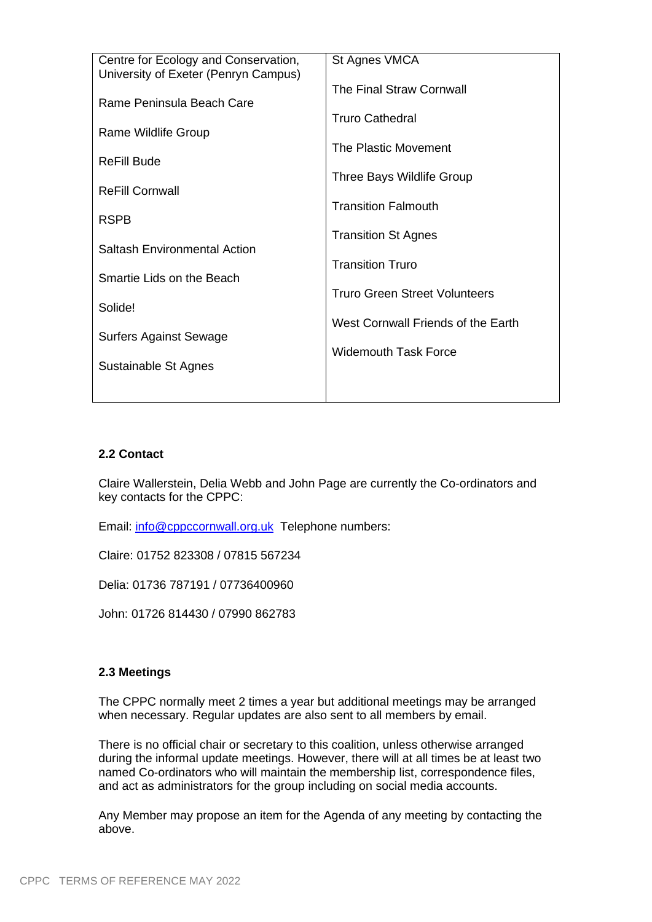| Centre for Ecology and Conservation, | St Agnes VMCA                      |
|--------------------------------------|------------------------------------|
| University of Exeter (Penryn Campus) | The Final Straw Cornwall           |
| Rame Peninsula Beach Care            |                                    |
| Rame Wildlife Group                  | <b>Truro Cathedral</b>             |
|                                      | The Plastic Movement               |
| ReFill Bude                          | Three Bays Wildlife Group          |
| <b>ReFill Cornwall</b>               |                                    |
| <b>RSPB</b>                          | <b>Transition Falmouth</b>         |
|                                      | <b>Transition St Agnes</b>         |
| <b>Saltash Environmental Action</b>  | <b>Transition Truro</b>            |
| Smartie Lids on the Beach            |                                    |
| Solide!                              | Truro Green Street Volunteers      |
|                                      | West Cornwall Friends of the Earth |
| Surfers Against Sewage               | <b>Widemouth Task Force</b>        |
| Sustainable St Agnes                 |                                    |
|                                      |                                    |
|                                      |                                    |

#### **2.2 Contact**

Claire Wallerstein, Delia Webb and John Page are currently the Co-ordinators and key contacts for the CPPC:

Email: [info@cppccornwall.org.uk](mailto:info@cppccornwall.org.uk) Telephone numbers:

Claire: 01752 823308 / 07815 567234

Delia: 01736 787191 / 07736400960

John: 01726 814430 / 07990 862783

#### **2.3 Meetings**

The CPPC normally meet 2 times a year but additional meetings may be arranged when necessary. Regular updates are also sent to all members by email.

There is no official chair or secretary to this coalition, unless otherwise arranged during the informal update meetings. However, there will at all times be at least two named Co-ordinators who will maintain the membership list, correspondence files, and act as administrators for the group including on social media accounts.

Any Member may propose an item for the Agenda of any meeting by contacting the above.